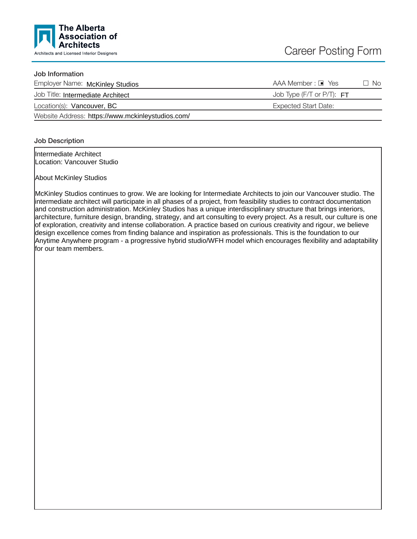

# Job Information

| Employer Name: McKinley Studios                   | AAA Member : □ Yes          | $\Box$ No |
|---------------------------------------------------|-----------------------------|-----------|
| Job Title: Intermediate Architect                 | Job Type (F/T or P/T): $FT$ |           |
| Location(s): Vancouver, BC                        | Expected Start Date:        |           |
| Website Address: https://www.mckinleystudios.com/ |                             |           |

## Job Description

Intermediate Architect Location: Vancouver Studio

About McKinley Studios

McKinley Studios continues to grow. We are looking for Intermediate Architects to join our Vancouver studio. The intermediate architect will participate in all phases of a project, from feasibility studies to contract documentation and construction administration. McKinley Studios has a unique interdisciplinary structure that brings interiors, architecture, furniture design, branding, strategy, and art consulting to every project. As a result, our culture is one of exploration, creativity and intense collaboration. A practice based on curious creativity and rigour, we believe design excellence comes from finding balance and inspiration as professionals. This is the foundation to our Anytime Anywhere program - a progressive hybrid studio/WFH model which encourages flexibility and adaptability for our team members.